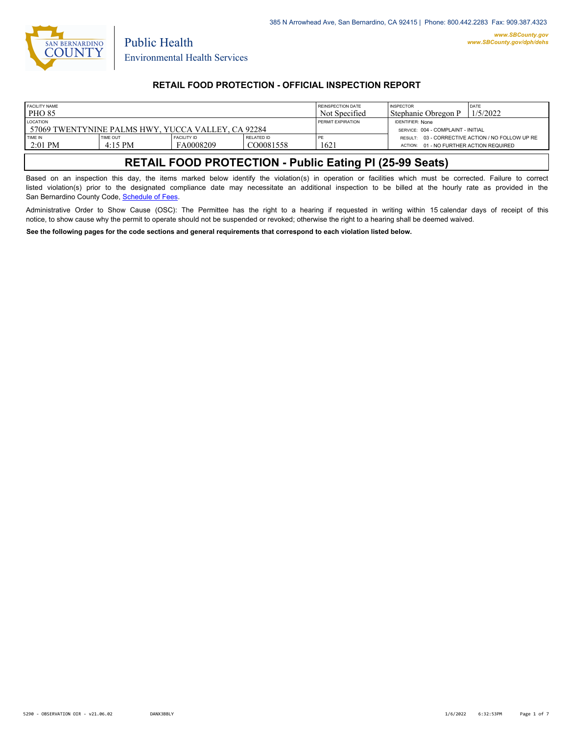

### **RETAIL FOOD PROTECTION - OFFICIAL INSPECTION REPORT**

| <b>FACILITY NAME</b><br>PHO <sub>85</sub>                             |                              |                                 |                         | REINSPECTION DATE<br>Not Specified                            | <b>INSPECTOR</b><br>l Stephanie Obregon P | <b>DATE</b><br>1/5/2022                          |
|-----------------------------------------------------------------------|------------------------------|---------------------------------|-------------------------|---------------------------------------------------------------|-------------------------------------------|--------------------------------------------------|
| <b>LOCATION</b><br>57069 TWENTYNINE PALMS HWY, YUCCA VALLEY, CA 92284 |                              |                                 | PERMIT EXPIRATION       | <b>IDENTIFIER: None</b><br>SERVICE: 004 - COMPLAINT - INITIAL |                                           |                                                  |
| TIME IN<br>$2:01$ PM                                                  | <b>TIME OUT</b><br>$4:15$ PM | <b>FACILITY ID</b><br>FA0008209 | RELATED ID<br>CO0081558 | PE<br>1621                                                    | ACTION: 01 - NO FURTHER ACTION REQUIRED   | RESULT: 03 - CORRECTIVE ACTION / NO FOLLOW UP RE |

# **RETAIL FOOD PROTECTION - Public Eating Pl (25-99 Seats)**

Based on an inspection this day, the items marked below identify the violation(s) in operation or facilities which must be corrected. Failure to correct listed violation(s) prior to the designated compliance date may necessitate an additional inspection to be billed at the hourly rate as provided in the San Bernardino County Code, Sc[hedule of Fees.](https://codelibrary.amlegal.com/codes/sanbernardino/latest/sanberncty_ca/0-0-0-122474#JD_16.0213B)

Administrative Order to Show Cause (OSC): The Permittee has the right to a hearing if requested in writing within 15 calendar days of receipt of this notice, to show cause why the permit to operate should not be suspended or revoked; otherwise the right to a hearing shall be deemed waived.

**See the following pages for the code sections and general requirements that correspond to each violation listed below.**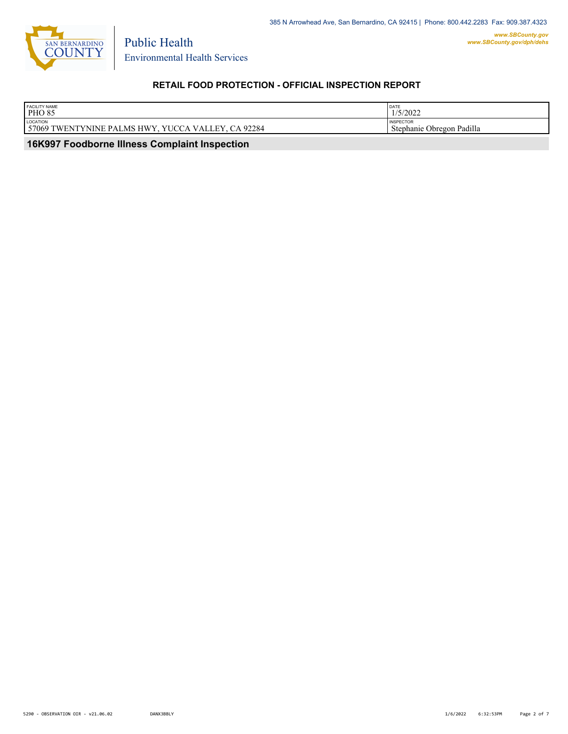

Environmental Health Services

Public Health

## **RETAIL FOOD PROTECTION - OFFICIAL INSPECTION REPORT**

| <b>FACILITY NAME</b><br><b>PHO 85</b>                                                                                               | DATE<br>1512022<br>17372022                   |
|-------------------------------------------------------------------------------------------------------------------------------------|-----------------------------------------------|
| LOCATION<br>.92284<br><b>HWY</b><br>57069<br>) TWENTYNINE<br><b>TTT.</b><br>$\sim$ VALLL.<br><b>PALMS</b><br>$^{\prime}$ H $\prime$ | <b>INSPECTOR</b><br>Stephanie Obregon Padilla |

 **16K997 Foodborne Illness Complaint Inspection**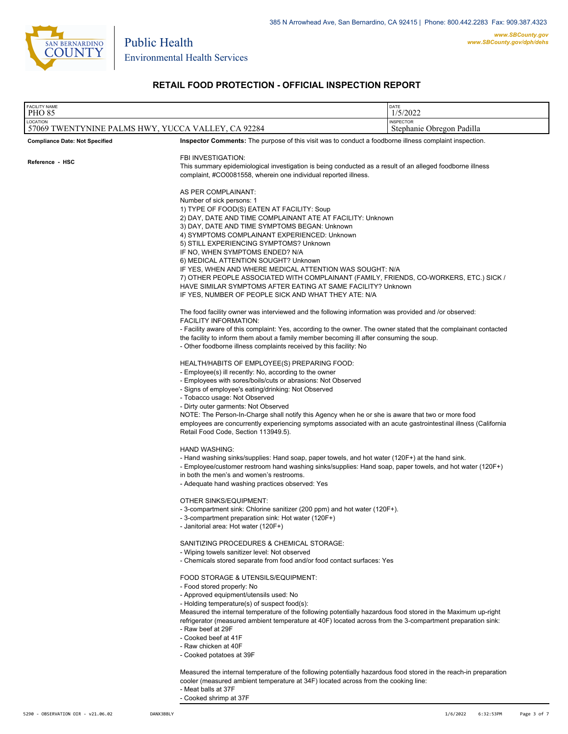

## **RETAIL FOOD PROTECTION - OFFICIAL INSPECTION REPORT**

| <b>FACILITY NAME</b><br><b>PHO 85</b>                                                                                                                                                                                                                                                                                                          |                                                                                                                                                                                                                                                                                                                                                                                                                                                                                                                                                                                                                                                                                                                                                                                                                                                                                                                                                                                   | DATE<br>1/5/2022                                                                                                                                                                                                           |
|------------------------------------------------------------------------------------------------------------------------------------------------------------------------------------------------------------------------------------------------------------------------------------------------------------------------------------------------|-----------------------------------------------------------------------------------------------------------------------------------------------------------------------------------------------------------------------------------------------------------------------------------------------------------------------------------------------------------------------------------------------------------------------------------------------------------------------------------------------------------------------------------------------------------------------------------------------------------------------------------------------------------------------------------------------------------------------------------------------------------------------------------------------------------------------------------------------------------------------------------------------------------------------------------------------------------------------------------|----------------------------------------------------------------------------------------------------------------------------------------------------------------------------------------------------------------------------|
| LOCATION                                                                                                                                                                                                                                                                                                                                       |                                                                                                                                                                                                                                                                                                                                                                                                                                                                                                                                                                                                                                                                                                                                                                                                                                                                                                                                                                                   | <b>INSPECTOR</b>                                                                                                                                                                                                           |
| 57069 TWENTYNINE PALMS HWY, YUCCA VALLEY, CA 92284                                                                                                                                                                                                                                                                                             |                                                                                                                                                                                                                                                                                                                                                                                                                                                                                                                                                                                                                                                                                                                                                                                                                                                                                                                                                                                   | Stephanie Obregon Padilla                                                                                                                                                                                                  |
| <b>Compliance Date: Not Specified</b><br>Reference - HSC                                                                                                                                                                                                                                                                                       | Inspector Comments: The purpose of this visit was to conduct a foodborne illness complaint inspection.<br>FBI INVESTIGATION:<br>This summary epidemiological investigation is being conducted as a result of an alleged foodborne illness<br>complaint, #CO0081558, wherein one individual reported illness.<br>AS PER COMPLAINANT:<br>Number of sick persons: 1<br>1) TYPE OF FOOD(S) EATEN AT FACILITY: Soup<br>2) DAY, DATE AND TIME COMPLAINANT ATE AT FACILITY: Unknown<br>3) DAY, DATE AND TIME SYMPTOMS BEGAN: Unknown<br>4) SYMPTOMS COMPLAINANT EXPERIENCED: Unknown<br>5) STILL EXPERIENCING SYMPTOMS? Unknown<br>IF NO, WHEN SYMPTOMS ENDED? N/A<br>6) MEDICAL ATTENTION SOUGHT? Unknown<br>IF YES, WHEN AND WHERE MEDICAL ATTENTION WAS SOUGHT: N/A<br>7) OTHER PEOPLE ASSOCIATED WITH COMPLAINANT (FAMILY, FRIENDS, CO-WORKERS, ETC.) SICK /<br>HAVE SIMILAR SYMPTOMS AFTER EATING AT SAME FACILITY? Unknown<br>IF YES, NUMBER OF PEOPLE SICK AND WHAT THEY ATE: N/A |                                                                                                                                                                                                                            |
|                                                                                                                                                                                                                                                                                                                                                |                                                                                                                                                                                                                                                                                                                                                                                                                                                                                                                                                                                                                                                                                                                                                                                                                                                                                                                                                                                   |                                                                                                                                                                                                                            |
|                                                                                                                                                                                                                                                                                                                                                | <b>FACILITY INFORMATION:</b><br>the facility to inform them about a family member becoming ill after consuming the soup.<br>- Other foodborne illness complaints received by this facility: No                                                                                                                                                                                                                                                                                                                                                                                                                                                                                                                                                                                                                                                                                                                                                                                    | The food facility owner was interviewed and the following information was provided and /or observed:<br>- Facility aware of this complaint: Yes, according to the owner. The owner stated that the complainant contacted   |
| HEALTH/HABITS OF EMPLOYEE(S) PREPARING FOOD:<br>- Employee(s) ill recently: No, according to the owner<br>- Employees with sores/boils/cuts or abrasions: Not Observed<br>- Signs of employee's eating/drinking: Not Observed<br>- Tobacco usage: Not Observed<br>- Dirty outer garments: Not Observed<br>Retail Food Code, Section 113949.5). |                                                                                                                                                                                                                                                                                                                                                                                                                                                                                                                                                                                                                                                                                                                                                                                                                                                                                                                                                                                   | NOTE: The Person-In-Charge shall notify this Agency when he or she is aware that two or more food<br>employees are concurrently experiencing symptoms associated with an acute gastrointestinal illness (California        |
|                                                                                                                                                                                                                                                                                                                                                | <b>HAND WASHING:</b><br>in both the men's and women's restrooms.<br>- Adequate hand washing practices observed: Yes                                                                                                                                                                                                                                                                                                                                                                                                                                                                                                                                                                                                                                                                                                                                                                                                                                                               | - Hand washing sinks/supplies: Hand soap, paper towels, and hot water (120F+) at the hand sink.<br>- Employee/customer restroom hand washing sinks/supplies: Hand soap, paper towels, and hot water (120F+)                |
|                                                                                                                                                                                                                                                                                                                                                | OTHER SINKS/EQUIPMENT:<br>- 3-compartment sink: Chlorine sanitizer (200 ppm) and hot water (120F+).<br>- 3-compartment preparation sink: Hot water (120F+)<br>- Janitorial area: Hot water (120F+)                                                                                                                                                                                                                                                                                                                                                                                                                                                                                                                                                                                                                                                                                                                                                                                |                                                                                                                                                                                                                            |
|                                                                                                                                                                                                                                                                                                                                                | SANITIZING PROCEDURES & CHEMICAL STORAGE:<br>- Wiping towels sanitizer level: Not observed<br>- Chemicals stored separate from food and/or food contact surfaces: Yes                                                                                                                                                                                                                                                                                                                                                                                                                                                                                                                                                                                                                                                                                                                                                                                                             |                                                                                                                                                                                                                            |
|                                                                                                                                                                                                                                                                                                                                                | FOOD STORAGE & UTENSILS/EQUIPMENT:<br>- Food stored properly: No<br>- Approved equipment/utensils used: No<br>- Holding temperature(s) of suspect food(s):<br>- Raw beef at 29F<br>- Cooked beef at 41F<br>- Raw chicken at 40F<br>- Cooked potatoes at 39F                                                                                                                                                                                                                                                                                                                                                                                                                                                                                                                                                                                                                                                                                                                       | Measured the internal temperature of the following potentially hazardous food stored in the Maximum up-right<br>refrigerator (measured ambient temperature at 40F) located across from the 3-compartment preparation sink: |
| cooler (measured ambient temperature at 34F) located across from the cooking line:<br>- Meat balls at 37F                                                                                                                                                                                                                                      |                                                                                                                                                                                                                                                                                                                                                                                                                                                                                                                                                                                                                                                                                                                                                                                                                                                                                                                                                                                   | Measured the internal temperature of the following potentially hazardous food stored in the reach-in preparation                                                                                                           |

- Cooked shrimp at 37F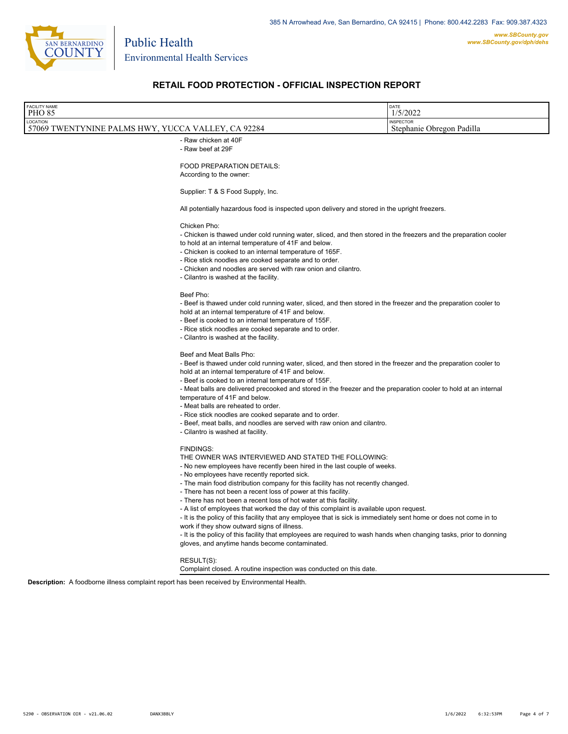

Environmental Health Services

Public Health

### **RETAIL FOOD PROTECTION - OFFICIAL INSPECTION REPORT**

| <b>FACILITY NAME</b>                               | <b>DATE</b>               |
|----------------------------------------------------|---------------------------|
| <b>PHO 85</b>                                      | 1/5/2022                  |
| LOCATION                                           | <b>INSPECTOR</b>          |
| 57069 TWENTYNINE PALMS HWY, YUCCA VALLEY, CA 92284 | Stephanie Obregon Padilla |
| - Raw chicken at 40F<br>- Raw beef at 29F          |                           |

FOOD PREPARATION DETAILS:

According to the owner:

Supplier: T & S Food Supply, Inc.

All potentially hazardous food is inspected upon delivery and stored in the upright freezers.

#### Chicken Pho:

- Chicken is thawed under cold running water, sliced, and then stored in the freezers and the preparation cooler
- to hold at an internal temperature of 41F and below.
- Chicken is cooked to an internal temperature of 165F. - Rice stick noodles are cooked separate and to order.
- 
- Chicken and noodles are served with raw onion and cilantro.
- Cilantro is washed at the facility.

#### Beef Pho:

- Beef is thawed under cold running water, sliced, and then stored in the freezer and the preparation cooler to hold at an internal temperature of 41F and below.

- Beef is cooked to an internal temperature of 155F.
- Rice stick noodles are cooked separate and to order.
- Cilantro is washed at the facility.

#### Beef and Meat Balls Pho:

- Beef is thawed under cold running water, sliced, and then stored in the freezer and the preparation cooler to hold at an internal temperature of 41F and below.

- Beef is cooked to an internal temperature of 155F.

- Meat balls are delivered precooked and stored in the freezer and the preparation cooler to hold at an internal temperature of 41F and below.

- Meat balls are reheated to order.

- Rice stick noodles are cooked separate and to order.

- Beef, meat balls, and noodles are served with raw onion and cilantro.

- Cilantro is washed at facility.

#### FINDINGS:

THE OWNER WAS INTERVIEWED AND STATED THE FOLLOWING:

- No new employees have recently been hired in the last couple of weeks.

- No employees have recently reported sick.

- The main food distribution company for this facility has not recently changed.

- There has not been a recent loss of power at this facility.

- There has not been a recent loss of hot water at this facility.

- A list of employees that worked the day of this complaint is available upon request.

- It is the policy of this facility that any employee that is sick is immediately sent home or does not come in to work if they show outward signs of illness.

- It is the policy of this facility that employees are required to wash hands when changing tasks, prior to donning gloves, and anytime hands become contaminated.

### RESULT(S):

Complaint closed. A routine inspection was conducted on this date.

**Description:** A foodborne illness complaint report has been received by Environmental Health.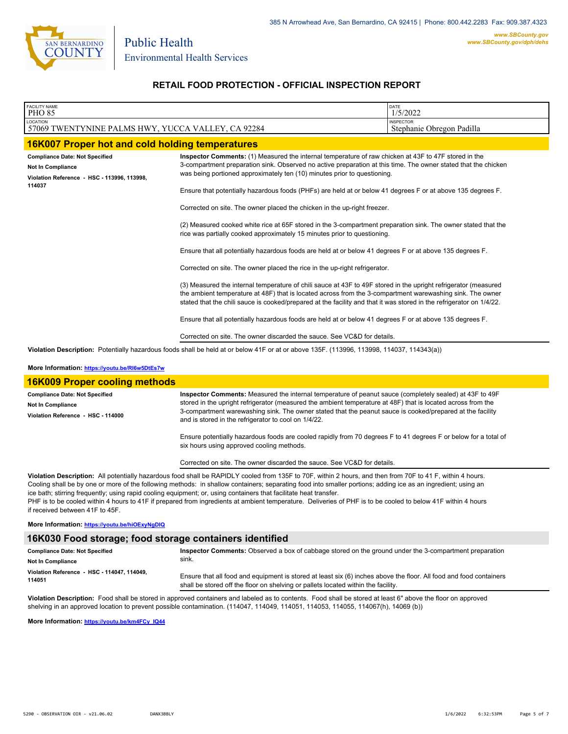

## **RETAIL FOOD PROTECTION - OFFICIAL INSPECTION REPORT**

| <b>FACILITY NAME</b><br><b>PHO 85</b>                                                                               |                                                                                                                                                                                                                                                                                                                                                                                                                                                                                                                                                                                                                                                                                                                                                                                                                                                                                                                                                                                                                                                                                                                                                                                                                                                                                                                                                                                                                                     | DATE<br>1/5/2022                              |
|---------------------------------------------------------------------------------------------------------------------|-------------------------------------------------------------------------------------------------------------------------------------------------------------------------------------------------------------------------------------------------------------------------------------------------------------------------------------------------------------------------------------------------------------------------------------------------------------------------------------------------------------------------------------------------------------------------------------------------------------------------------------------------------------------------------------------------------------------------------------------------------------------------------------------------------------------------------------------------------------------------------------------------------------------------------------------------------------------------------------------------------------------------------------------------------------------------------------------------------------------------------------------------------------------------------------------------------------------------------------------------------------------------------------------------------------------------------------------------------------------------------------------------------------------------------------|-----------------------------------------------|
| LOCATION<br>57069 TWENTYNINE PALMS HWY, YUCCA VALLEY, CA 92284                                                      |                                                                                                                                                                                                                                                                                                                                                                                                                                                                                                                                                                                                                                                                                                                                                                                                                                                                                                                                                                                                                                                                                                                                                                                                                                                                                                                                                                                                                                     | <b>INSPECTOR</b><br>Stephanie Obregon Padilla |
| 16K007 Proper hot and cold holding temperatures                                                                     |                                                                                                                                                                                                                                                                                                                                                                                                                                                                                                                                                                                                                                                                                                                                                                                                                                                                                                                                                                                                                                                                                                                                                                                                                                                                                                                                                                                                                                     |                                               |
| <b>Compliance Date: Not Specified</b><br>Not In Compliance<br>Violation Reference - HSC - 113996, 113998,<br>114037 | Inspector Comments: (1) Measured the internal temperature of raw chicken at 43F to 47F stored in the<br>3-compartment preparation sink. Observed no active preparation at this time. The owner stated that the chicken<br>was being portioned approximately ten (10) minutes prior to questioning.<br>Ensure that potentially hazardous foods (PHFs) are held at or below 41 degrees F or at above 135 degrees F.<br>Corrected on site. The owner placed the chicken in the up-right freezer.<br>(2) Measured cooked white rice at 65F stored in the 3-compartment preparation sink. The owner stated that the<br>rice was partially cooked approximately 15 minutes prior to questioning.<br>Ensure that all potentially hazardous foods are held at or below 41 degrees F or at above 135 degrees F.<br>Corrected on site. The owner placed the rice in the up-right refrigerator.<br>(3) Measured the internal temperature of chili sauce at 43F to 49F stored in the upright refrigerator (measured<br>the ambient temperature at 48F) that is located across from the 3-compartment warewashing sink. The owner<br>stated that the chili sauce is cooked/prepared at the facility and that it was stored in the refrigerator on 1/4/22.<br>Ensure that all potentially hazardous foods are held at or below 41 degrees F or at above 135 degrees F.<br>Corrected on site. The owner discarded the sauce. See VC&D for details. |                                               |
|                                                                                                                     | Violation Description: Potentially hazardous foods shall be held at or below 41F or at or above 135F. (113996, 113998, 114037, 114343(a))                                                                                                                                                                                                                                                                                                                                                                                                                                                                                                                                                                                                                                                                                                                                                                                                                                                                                                                                                                                                                                                                                                                                                                                                                                                                                           |                                               |

#### **More Information: <https://youtu.be/RI6w5DtEs7w>**

| <b>16K009 Proper cooling methods</b>  |                                                                                                                                                                                                                                                                                   |  |
|---------------------------------------|-----------------------------------------------------------------------------------------------------------------------------------------------------------------------------------------------------------------------------------------------------------------------------------|--|
| <b>Compliance Date: Not Specified</b> | Inspector Comments: Measured the internal temperature of peanut sauce (completely sealed) at 43F to 49F                                                                                                                                                                           |  |
| <b>Not In Compliance</b>              | stored in the upright refrigerator (measured the ambient temperature at 48F) that is located across from the<br>3-compartment warewashing sink. The owner stated that the peanut sauce is cooked/prepared at the facility<br>and is stored in the refrigerator to cool on 1/4/22. |  |
| Violation Reference - HSC - 114000    |                                                                                                                                                                                                                                                                                   |  |
|                                       | Ensure potentially hazardous foods are cooled rapidly from 70 degrees F to 41 degrees F or below for a total of<br>six hours using approved cooling methods.                                                                                                                      |  |
|                                       | Corrected on site. The owner discarded the sauce. See VC&D for details.                                                                                                                                                                                                           |  |
|                                       | Violation Description: All potentially hazardous food shall be RAPIDLY cooled from 135F to 70F, within 2 hours, and then from 70F to 41 F, within 4 hours.                                                                                                                        |  |

Cooling shall be by one or more of the following methods: in shallow containers; separating food into smaller portions; adding ice as an ingredient; using an ice bath; stirring frequently; using rapid cooling equipment; or, using containers that facilitate heat transfer. PHF is to be cooled within 4 hours to 41F if prepared from ingredients at ambient temperature. Deliveries of PHF is to be cooled to below 41F within 4 hours if received between 41F to 45F.

### **More Information: <https://youtu.be/hiOExyNgDIQ>**

#### **16K030 Food storage; food storage containers identified**

| <b>Compliance Date: Not Specified</b>       | Inspector Comments: Observed a box of cabbage stored on the ground under the 3-compartment preparation             |
|---------------------------------------------|--------------------------------------------------------------------------------------------------------------------|
| <b>Not In Compliance</b>                    | sink.                                                                                                              |
| Violation Reference - HSC - 114047, 114049. | Ensure that all food and equipment is stored at least six (6) inches above the floor. All food and food containers |
| 114051                                      | shall be stored off the floor on shelving or pallets located within the facility.                                  |

**Violation Description:** Food shall be stored in approved containers and labeled as to contents. Food shall be stored at least 6" above the floor on approved shelving in an approved location to prevent possible contamination. (114047, 114049, 114051, 114053, 114055, 114067(h), 14069 (b))

**More Information: [https://youtu.be/km4FCy\\_IQ44](https://youtu.be/km4FCy_IQ44)**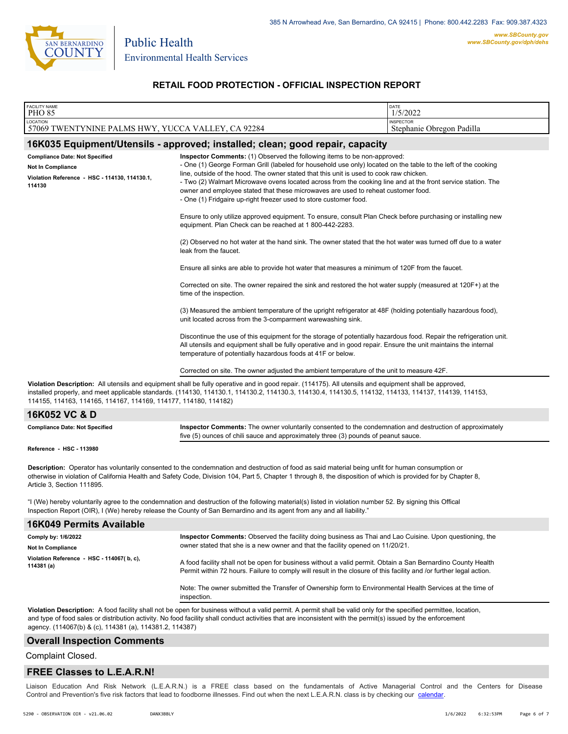

### **RETAIL FOOD PROTECTION - OFFICIAL INSPECTION REPORT**

| <b>FACILITY NAME</b>                                                                                                                                                                                                                                                                                                                                                                       |                                                                                                                                                                                                                                                                                                                                                                                                                                                                                                                                                                 | DATE                                          |  |  |
|--------------------------------------------------------------------------------------------------------------------------------------------------------------------------------------------------------------------------------------------------------------------------------------------------------------------------------------------------------------------------------------------|-----------------------------------------------------------------------------------------------------------------------------------------------------------------------------------------------------------------------------------------------------------------------------------------------------------------------------------------------------------------------------------------------------------------------------------------------------------------------------------------------------------------------------------------------------------------|-----------------------------------------------|--|--|
| <b>PHO 85</b>                                                                                                                                                                                                                                                                                                                                                                              |                                                                                                                                                                                                                                                                                                                                                                                                                                                                                                                                                                 | 1/5/2022                                      |  |  |
| LOCATION<br>57069 TWENTYNINE PALMS HWY, YUCCA VALLEY, CA 92284                                                                                                                                                                                                                                                                                                                             |                                                                                                                                                                                                                                                                                                                                                                                                                                                                                                                                                                 | <b>INSPECTOR</b><br>Stephanie Obregon Padilla |  |  |
|                                                                                                                                                                                                                                                                                                                                                                                            | 16K035 Equipment/Utensils - approved; installed; clean; good repair, capacity                                                                                                                                                                                                                                                                                                                                                                                                                                                                                   |                                               |  |  |
| <b>Compliance Date: Not Specified</b><br><b>Not In Compliance</b><br>Violation Reference - HSC - 114130, 114130.1,<br>114130                                                                                                                                                                                                                                                               | Inspector Comments: (1) Observed the following items to be non-approved:<br>- One (1) George Forman Grill (labeled for household use only) located on the table to the left of the cooking<br>line, outside of the hood. The owner stated that this unit is used to cook raw chicken.<br>- Two (2) Walmart Microwave ovens located across from the cooking line and at the front service station. The<br>owner and employee stated that these microwaves are used to reheat customer food.<br>- One (1) Fridgaire up-right freezer used to store customer food. |                                               |  |  |
|                                                                                                                                                                                                                                                                                                                                                                                            | Ensure to only utilize approved equipment. To ensure, consult Plan Check before purchasing or installing new<br>equipment. Plan Check can be reached at 1800-442-2283.                                                                                                                                                                                                                                                                                                                                                                                          |                                               |  |  |
|                                                                                                                                                                                                                                                                                                                                                                                            | (2) Observed no hot water at the hand sink. The owner stated that the hot water was turned off due to a water<br>leak from the faucet.                                                                                                                                                                                                                                                                                                                                                                                                                          |                                               |  |  |
|                                                                                                                                                                                                                                                                                                                                                                                            | Ensure all sinks are able to provide hot water that measures a minimum of 120F from the faucet.                                                                                                                                                                                                                                                                                                                                                                                                                                                                 |                                               |  |  |
|                                                                                                                                                                                                                                                                                                                                                                                            | Corrected on site. The owner repaired the sink and restored the hot water supply (measured at 120F+) at the<br>time of the inspection.                                                                                                                                                                                                                                                                                                                                                                                                                          |                                               |  |  |
|                                                                                                                                                                                                                                                                                                                                                                                            | (3) Measured the ambient temperature of the upright refrigerator at 48F (holding potentially hazardous food),<br>unit located across from the 3-comparment warewashing sink.                                                                                                                                                                                                                                                                                                                                                                                    |                                               |  |  |
|                                                                                                                                                                                                                                                                                                                                                                                            | Discontinue the use of this equipment for the storage of potentially hazardous food. Repair the refrigeration unit.<br>All utensils and equipment shall be fully operative and in good repair. Ensure the unit maintains the internal<br>temperature of potentially hazardous foods at 41F or below.                                                                                                                                                                                                                                                            |                                               |  |  |
|                                                                                                                                                                                                                                                                                                                                                                                            | Corrected on site. The owner adjusted the ambient temperature of the unit to measure 42F.                                                                                                                                                                                                                                                                                                                                                                                                                                                                       |                                               |  |  |
| Violation Description: All utensils and equipment shall be fully operative and in good repair. (114175). All utensils and equipment shall be approved,<br>installed properly, and meet applicable standards. (114130, 114130.1, 114130.2, 114130.3, 114130.4, 114130.5, 114132, 114133, 114137, 114139, 114139, 114153,<br>114155, 114163, 114165, 114167, 114169, 114177, 114180, 114182) |                                                                                                                                                                                                                                                                                                                                                                                                                                                                                                                                                                 |                                               |  |  |
| 16K052 VC & D                                                                                                                                                                                                                                                                                                                                                                              |                                                                                                                                                                                                                                                                                                                                                                                                                                                                                                                                                                 |                                               |  |  |
| <b>Compliance Date: Not Specified</b>                                                                                                                                                                                                                                                                                                                                                      | Inspector Comments: The owner voluntarily consented to the condemnation and destruction of approximately<br>five (5) ounces of chili sauce and approximately three (3) pounds of peanut sauce.                                                                                                                                                                                                                                                                                                                                                                  |                                               |  |  |
| Reference - HSC - 113980                                                                                                                                                                                                                                                                                                                                                                   |                                                                                                                                                                                                                                                                                                                                                                                                                                                                                                                                                                 |                                               |  |  |
| Description: Operator has voluntarily consented to the condemnation and destruction of food as said material being unfit for human consumption or<br>otherwise in violation of California Health and Safety Code, Division 104, Part 5, Chapter 1 through 8, the disposition of which is provided for by Chapter 8,<br>Article 3, Section 111895.                                          |                                                                                                                                                                                                                                                                                                                                                                                                                                                                                                                                                                 |                                               |  |  |
|                                                                                                                                                                                                                                                                                                                                                                                            | "I (We) hereby voluntarily agree to the condemnation and destruction of the following material(s) listed in violation number 52. By signing this Offical<br>Inspection Report (OIR), I (We) hereby release the County of San Bernardino and its agent from any and all liability."                                                                                                                                                                                                                                                                              |                                               |  |  |
| <b>16K049 Permits Available</b>                                                                                                                                                                                                                                                                                                                                                            |                                                                                                                                                                                                                                                                                                                                                                                                                                                                                                                                                                 |                                               |  |  |
| Comply by: 1/6/2022                                                                                                                                                                                                                                                                                                                                                                        | Inspector Comments: Observed the facility doing business as Thai and Lao Cuisine. Upon questioning, the                                                                                                                                                                                                                                                                                                                                                                                                                                                         |                                               |  |  |
| <b>Not In Compliance</b>                                                                                                                                                                                                                                                                                                                                                                   | owner stated that she is a new owner and that the facility opened on 11/20/21.                                                                                                                                                                                                                                                                                                                                                                                                                                                                                  |                                               |  |  |
| Violation Reference - HSC - 114067(b, c),<br>114381 (a)                                                                                                                                                                                                                                                                                                                                    | A food facility shall not be open for business without a valid permit. Obtain a San Bernardino County Health<br>Permit within 72 hours. Failure to comply will result in the closure of this facility and /or further legal action.                                                                                                                                                                                                                                                                                                                             |                                               |  |  |
|                                                                                                                                                                                                                                                                                                                                                                                            | Note: The owner submitted the Transfer of Ownership form to Environmental Health Services at the time of<br>inspection.                                                                                                                                                                                                                                                                                                                                                                                                                                         |                                               |  |  |

**Violation Description:** A food facility shall not be open for business without a valid permit. A permit shall be valid only for the specified permittee, location, and type of food sales or distribution activity. No food facility shall conduct activities that are inconsistent with the permit(s) issued by the enforcement agency. (114067(b) & (c), 114381 (a), 114381.2, 114387)

### **Overall Inspection Comments**

Complaint Closed.

#### **FREE Classes to L.E.A.R.N!**

Liaison Education And Risk Network (L.E.A.R.N.) is a FREE class based on the fundamentals of Active Managerial Control and [the Centers](http://wp.sbcounty.gov/dph/events/) for Disease Control and Prevention's five risk factors that lead to foodborne illnesses. Find out when the next L.E.A.R.N. class is by checking our calendar.